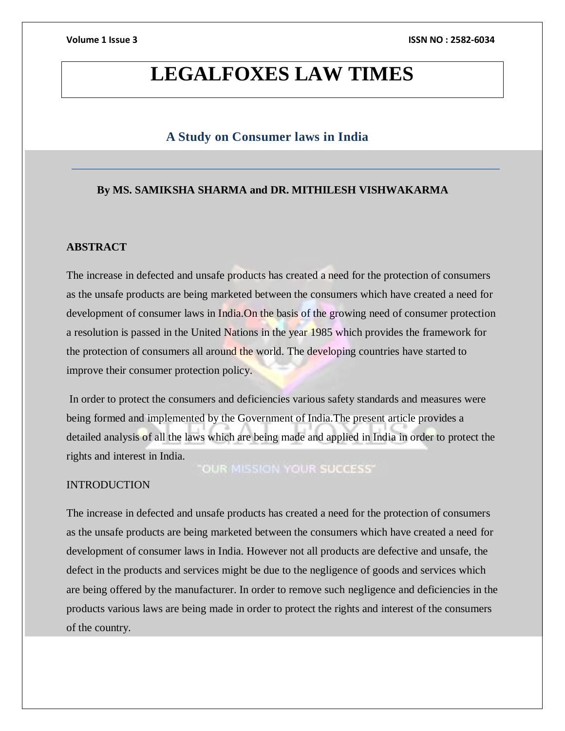# **LEGALFOXES LAW TIMES**

# **A Study on Consumer laws in India**

### **By MS. SAMIKSHA SHARMA and DR. MITHILESH VISHWAKARMA**

### **ABSTRACT**

The increase in defected and unsafe products has created a need for the protection of consumers as the unsafe products are being marketed between the consumers which have created a need for development of consumer laws in India.On the basis of the growing need of consumer protection a resolution is passed in the United Nations in the year 1985 which provides the framework for the protection of consumers all around the world. The developing countries have started to improve their consumer protection policy.

In order to protect the consumers and deficiencies various safety standards and measures were being formed and implemented by the Government of India.The present article provides a detailed analysis of all the laws which are being made and applied in India in order to protect the rights and interest in India.

# "OUR MISSION YOUR SUCCESS"

# **INTRODUCTION**

The increase in defected and unsafe products has created a need for the protection of consumers as the unsafe products are being marketed between the consumers which have created a need for development of consumer laws in India. However not all products are defective and unsafe, the defect in the products and services might be due to the negligence of goods and services which are being offered by the manufacturer. In order to remove such negligence and deficiencies in the products various laws are being made in order to protect the rights and interest of the consumers of the country.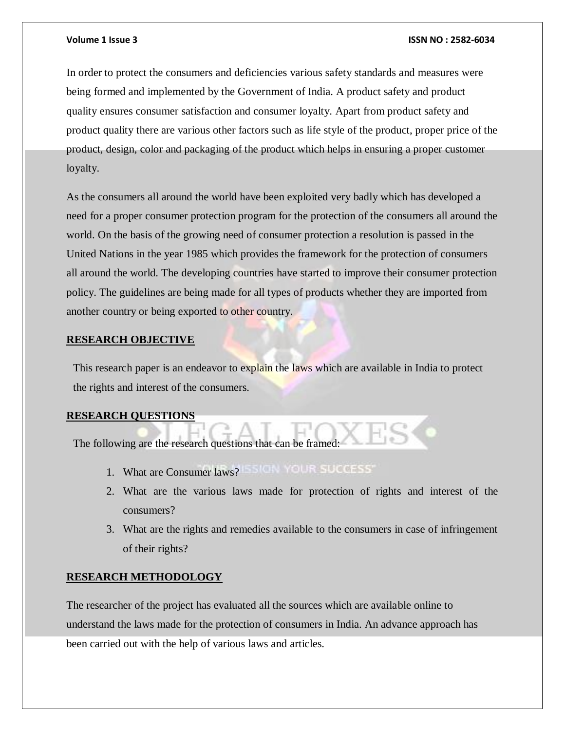In order to protect the consumers and deficiencies various safety standards and measures were being formed and implemented by the Government of India. A product safety and product quality ensures consumer satisfaction and consumer loyalty. Apart from product safety and product quality there are various other factors such as life style of the product, proper price of the product, design, color and packaging of the product which helps in ensuring a proper customer loyalty.

As the consumers all around the world have been exploited very badly which has developed a need for a proper consumer protection program for the protection of the consumers all around the world. On the basis of the growing need of consumer protection a resolution is passed in the United Nations in the year 1985 which provides the framework for the protection of consumers all around the world. The developing countries have started to improve their consumer protection policy. The guidelines are being made for all types of products whether they are imported from another country or being exported to other country.

### **RESEARCH OBJECTIVE**

This research paper is an endeavor to explain the laws which are available in India to protect the rights and interest of the consumers.

### **RESEARCH QUESTIONS**

The following are the research questions that can be framed:

- 1. What are Consumer laws? SIGN YOUR SUCCESS
- 2. What are the various laws made for protection of rights and interest of the consumers?
- 3. What are the rights and remedies available to the consumers in case of infringement of their rights?

### **RESEARCH METHODOLOGY**

The researcher of the project has evaluated all the sources which are available online to understand the laws made for the protection of consumers in India. An advance approach has been carried out with the help of various laws and articles.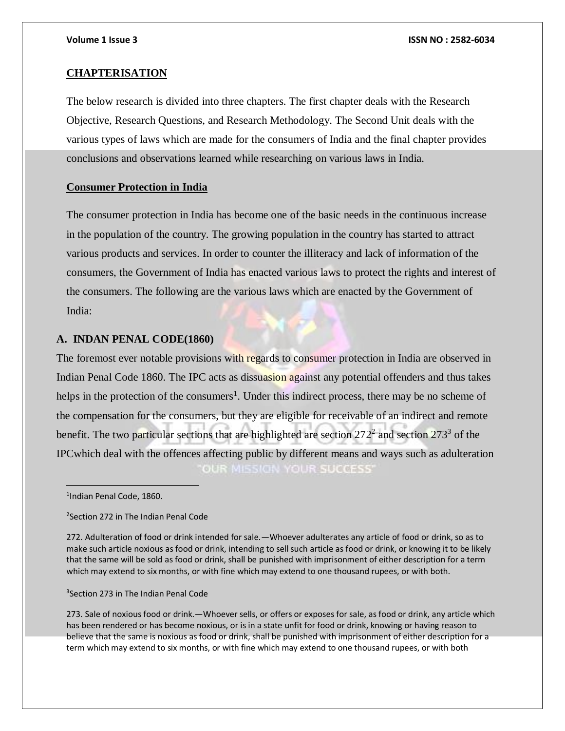#### **CHAPTERISATION**

The below research is divided into three chapters. The first chapter deals with the Research Objective, Research Questions, and Research Methodology. The Second Unit deals with the various types of laws which are made for the consumers of India and the final chapter provides conclusions and observations learned while researching on various laws in India.

### **Consumer Protection in India**

The consumer protection in India has become one of the basic needs in the continuous increase in the population of the country. The growing population in the country has started to attract various products and services. In order to counter the illiteracy and lack of information of the consumers, the Government of India has enacted various laws to protect the rights and interest of the consumers. The following are the various laws which are enacted by the Government of India:

#### **A. INDAN PENAL CODE(1860)**

The foremost ever notable provisions with regards to consumer protection in India are observed in Indian Penal Code 1860*.* The IPC acts as dissuasion against any potential offenders and thus takes helps in the protection of the consumers<sup>1</sup>. Under this indirect process, there may be no scheme of the compensation for the consumers, but they are eligible for receivable of an indirect and remote benefit. The two particular sections that are highlighted are section  $272^2$  and section  $273^3$  of the IPCwhich deal with the offences affecting public by different means and ways such as adulteration OUR MISSION YOUR SUCCESS'

1 Indian Penal Code, 1860.

<sup>2</sup>Section 272 in The Indian Penal Code

272. Adulteration of food or drink intended for sale.—Whoever adulterates any article of food or drink, so as to make such article noxious as food or drink, intending to sell such article as food or drink, or knowing it to be likely that the same will be sold as food or drink, shall be punished with imprisonment of either description for a term which may extend to six months, or with fine which may extend to one thousand rupees, or with both.

3 Section 273 in The Indian Penal Code

273. Sale of noxious food or drink.—Whoever sells, or offers or exposes for sale, as food or drink, any article which has been rendered or has become noxious, or is in a state unfit for food or drink, knowing or having reason to believe that the same is noxious as food or drink, shall be punished with imprisonment of either description for a term which may extend to six months, or with fine which may extend to one thousand rupees, or with both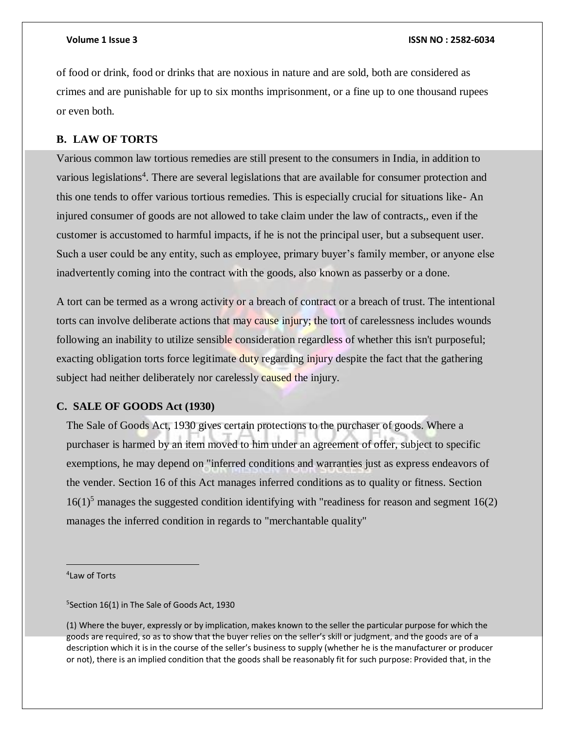of food or drink, food or drinks that are noxious in nature and are sold, both are considered as crimes and are punishable for up to six months imprisonment, or a fine up to one thousand rupees or even both.

### **B. LAW OF TORTS**

Various common law tortious remedies are still present to the consumers in India, in addition to various legislations<sup>4</sup>. There are several legislations that are available for consumer protection and this one tends to offer various tortious remedies. This is especially crucial for situations like- An injured consumer of goods are not allowed to take claim under the law of contracts,, even if the customer is accustomed to harmful impacts, if he is not the principal user, but a subsequent user. Such a user could be any entity, such as employee, primary buyer's family member, or anyone else inadvertently coming into the contract with the goods, also known as passerby or a done.

A tort can be termed as a wrong activity or a breach of contract or a breach of trust. The intentional torts can involve deliberate actions that may cause injury; the tort of carelessness includes wounds following an inability to utilize sensible consideration regardless of whether this isn't purposeful; exacting obligation torts force legitimate duty regarding injury despite the fact that the gathering subject had neither deliberately nor carelessly caused the injury.

### **C. SALE OF GOODS Act (1930)**

The Sale of Goods Act, 1930 gives certain protections to the purchaser of goods. Where a purchaser is harmed by an item moved to him under an agreement of offer, subject to specific exemptions, he may depend on "inferred conditions and warranties just as express endeavors of the vender. Section 16 of this Act manages inferred conditions as to quality or fitness. Section  $16(1)^5$  manages the suggested condition identifying with "readiness for reason and segment  $16(2)$ manages the inferred condition in regards to "merchantable quality"

4 Law of Torts

 $\overline{a}$ 

5 Section 16(1) in The Sale of Goods Act, 1930

(1) Where the buyer, expressly or by implication, makes known to the seller the particular purpose for which the goods are required, so as to show that the buyer relies on the seller's skill or judgment, and the goods are of a description which it is in the course of the seller's business to supply (whether he is the manufacturer or producer or not), there is an implied condition that the goods shall be reasonably fit for such purpose: Provided that, in the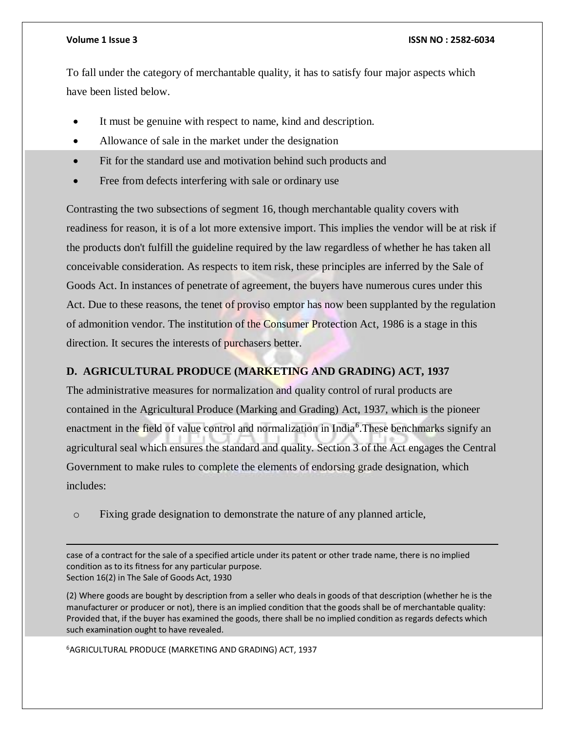$\overline{a}$ 

#### **Volume 1 Issue 3 ISSN NO : 2582-6034**

To fall under the category of merchantable quality, it has to satisfy four major aspects which have been listed below.

- It must be genuine with respect to name, kind and description.
- Allowance of sale in the market under the designation
- Fit for the standard use and motivation behind such products and
- Free from defects interfering with sale or ordinary use

Contrasting the two subsections of segment 16, though merchantable quality covers with readiness for reason, it is of a lot more extensive import. This implies the vendor will be at risk if the products don't fulfill the guideline required by the law regardless of whether he has taken all conceivable consideration. As respects to item risk, these principles are inferred by the Sale of Goods Act. In instances of penetrate of agreement, the buyers have numerous cures under this Act. Due to these reasons, the tenet of proviso emptor has now been supplanted by the regulation of admonition vendor. The institution of the Consumer Protection Act, 1986 is a stage in this direction. It secures the interests of purchasers better.

## **D. AGRICULTURAL PRODUCE (MARKETING AND GRADING) ACT, 1937**

The administrative measures for normalization and quality control of rural products are contained in the Agricultural Produce (Marking and Grading) Act, 1937, which is the pioneer enactment in the field of value control and normalization in India<sup>6</sup>. These benchmarks signify an agricultural seal which ensures the standard and quality. Section 3 of the Act engages the Central Government to make rules to complete the elements of endorsing grade designation, which includes:

o Fixing grade designation to demonstrate the nature of any planned article,

case of a contract for the sale of a specified article under its patent or other trade name, there is no implied condition as to its fitness for any particular purpose. Section 16(2) in The Sale of Goods Act, 1930

(2) Where goods are bought by description from a seller who deals in goods of that description (whether he is the manufacturer or producer or not), there is an implied condition that the goods shall be of merchantable quality: Provided that, if the buyer has examined the goods, there shall be no implied condition as regards defects which such examination ought to have revealed.

<sup>6</sup>AGRICULTURAL PRODUCE (MARKETING AND GRADING) ACT, 1937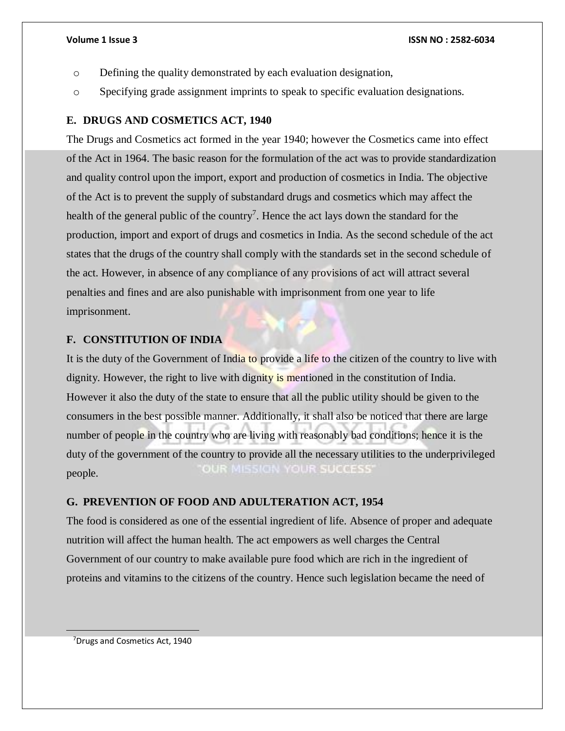- o Defining the quality demonstrated by each evaluation designation,
- o Specifying grade assignment imprints to speak to specific evaluation designations.

### **E. DRUGS AND COSMETICS ACT, 1940**

The Drugs and Cosmetics act formed in the year 1940; however the Cosmetics came into effect of the Act in 1964. The basic reason for the formulation of the act was to provide standardization and quality control upon the import, export and production of cosmetics in India. The objective of the Act is to prevent the supply of substandard drugs and cosmetics which may affect the health of the general public of the country<sup>7</sup>. Hence the act lays down the standard for the production, import and export of drugs and cosmetics in India. As the second schedule of the act states that the drugs of the country shall comply with the standards set in the second schedule of the act. However, in absence of any compliance of any provisions of act will attract several penalties and fines and are also punishable with imprisonment from one year to life imprisonment.

### **F. CONSTITUTION OF INDIA**

It is the duty of the Government of India to provide a life to the citizen of the country to live with dignity. However, the right to live with dignity is mentioned in the constitution of India. However it also the duty of the state to ensure that all the public utility should be given to the consumers in the best possible manner. Additionally, it shall also be noticed that there are large number of people in the country who are living with reasonably bad conditions; hence it is the duty of the government of the country to provide all the necessary utilities to the underprivileged OUR MISSION YOUR SUCCESS' people.

### **G. PREVENTION OF FOOD AND ADULTERATION ACT, 1954**

The food is considered as one of the essential ingredient of life. Absence of proper and adequate nutrition will affect the human health. The act empowers as well charges the Central Government of our country to make available pure food which are rich in the ingredient of proteins and vitamins to the citizens of the country. Hence such legislation became the need of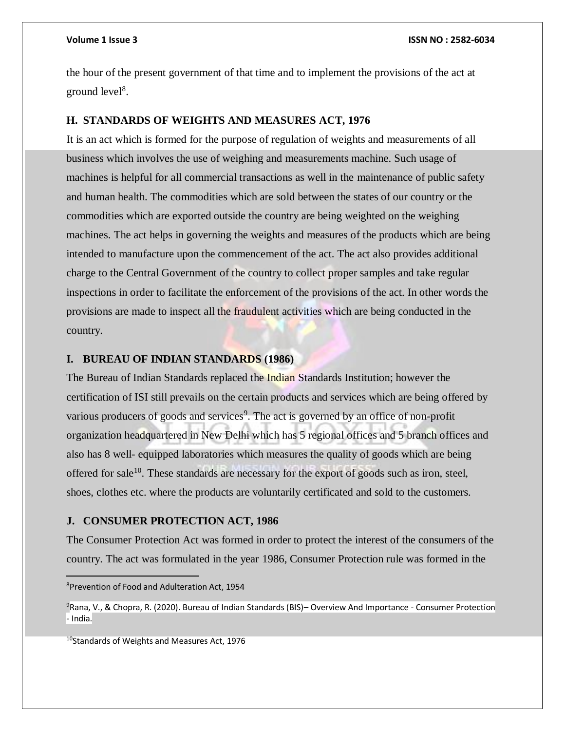the hour of the present government of that time and to implement the provisions of the act at ground  $level<sup>8</sup>$ .

#### **H. STANDARDS OF WEIGHTS AND MEASURES ACT, 1976**

It is an act which is formed for the purpose of regulation of weights and measurements of all business which involves the use of weighing and measurements machine. Such usage of machines is helpful for all commercial transactions as well in the maintenance of public safety and human health. The commodities which are sold between the states of our country or the commodities which are exported outside the country are being weighted on the weighing machines. The act helps in governing the weights and measures of the products which are being intended to manufacture upon the commencement of the act. The act also provides additional charge to the Central Government of the country to collect proper samples and take regular inspections in order to facilitate the enforcement of the provisions of the act. In other words the provisions are made to inspect all the fraudulent activities which are being conducted in the country.

### **I. BUREAU OF INDIAN STANDARDS (1986)**

The Bureau of Indian Standards replaced the Indian Standards Institution; however the certification of ISI still prevails on the certain products and services which are being offered by various producers of goods and services<sup>9</sup>. The act is governed by an office of non-profit organization headquartered in New Delhi which has 5 regional offices and 5 branch offices and also has 8 well- equipped laboratories which measures the quality of goods which are being offered for sale<sup>10</sup>. These standards are necessary for the export of goods such as iron, steel, shoes, clothes etc. where the products are voluntarily certificated and sold to the customers.

#### **J. CONSUMER PROTECTION ACT, 1986**

The Consumer Protection Act was formed in order to protect the interest of the consumers of the country. The act was formulated in the year 1986, Consumer Protection rule was formed in the

<sup>8</sup>Prevention of Food and Adulteration Act, 1954

<sup>10</sup>Standards of Weights and Measures Act, 1976

<sup>9</sup>Rana, V., & Chopra, R. (2020). Bureau of Indian Standards (BIS)– Overview And Importance - Consumer Protection - India.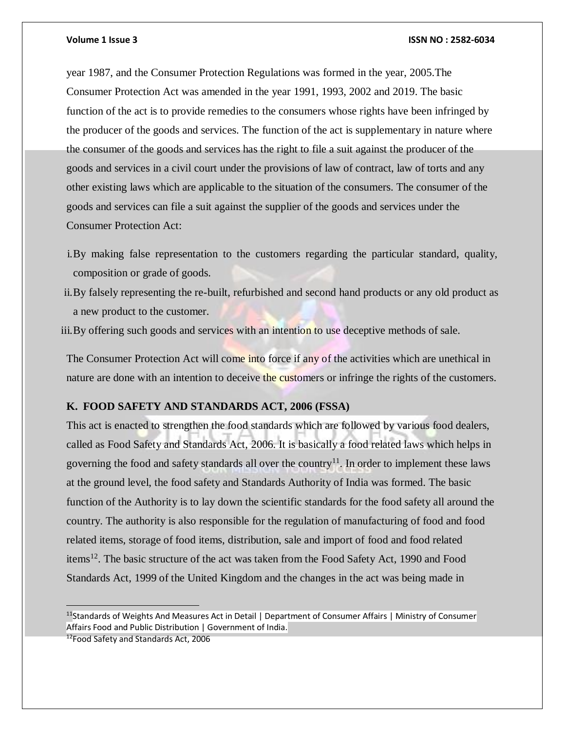year 1987, and the Consumer Protection Regulations was formed in the year, 2005.The Consumer Protection Act was amended in the year 1991, 1993, 2002 and 2019. The basic function of the act is to provide remedies to the consumers whose rights have been infringed by the producer of the goods and services. The function of the act is supplementary in nature where the consumer of the goods and services has the right to file a suit against the producer of the goods and services in a civil court under the provisions of law of contract, law of torts and any other existing laws which are applicable to the situation of the consumers. The consumer of the goods and services can file a suit against the supplier of the goods and services under the Consumer Protection Act:

- i.By making false representation to the customers regarding the particular standard, quality, composition or grade of goods.
- ii.By falsely representing the re-built, refurbished and second hand products or any old product as a new product to the customer.
- iii. By offering such goods and services with an intention to use deceptive methods of sale.

The Consumer Protection Act will come into force if any of the activities which are unethical in nature are done with an intention to deceive the customers or infringe the rights of the customers.

# **K. FOOD SAFETY AND STANDARDS ACT, 2006 (FSSA)**

This act is enacted to strengthen the food standards which are followed by various food dealers, called as Food Safety and Standards Act, 2006. It is basically a food related laws which helps in governing the food and safety standards all over the country<sup>11</sup>. In order to implement these laws at the ground level, the food safety and Standards Authority of India was formed. The basic function of the Authority is to lay down the scientific standards for the food safety all around the country. The authority is also responsible for the regulation of manufacturing of food and food related items, storage of food items, distribution, sale and import of food and food related items<sup>12</sup>. The basic structure of the act was taken from the Food Safety Act, 1990 and Food Standards Act, 1999 of the United Kingdom and the changes in the act was being made in

12Food Safety and Standards Act, 2006

<sup>&</sup>lt;sup>11</sup>Standards of Weights And Measures Act in Detail | Department of Consumer Affairs | Ministry of Consumer Affairs Food and Public Distribution | Government of India.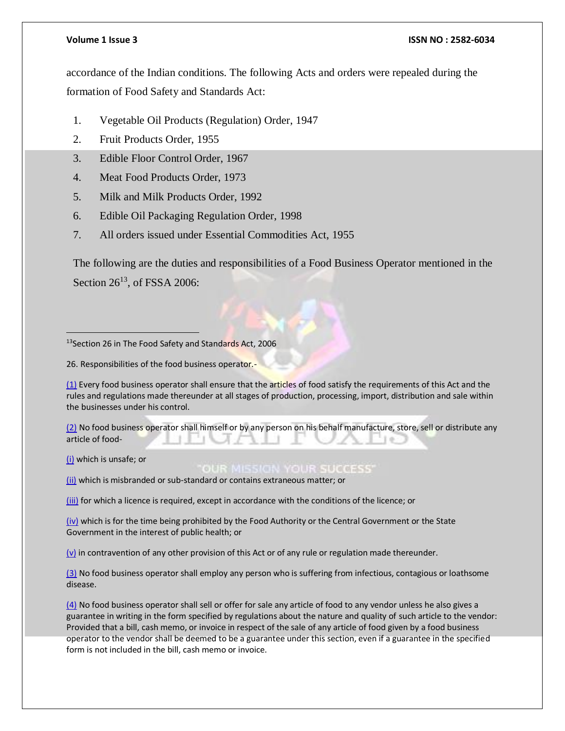accordance of the Indian conditions. The following Acts and orders were repealed during the formation of Food Safety and Standards Act:

- 1. Vegetable Oil Products (Regulation) Order, 1947
- 2. Fruit Products Order, 1955
- 3. Edible Floor Control Order, 1967
- 4. Meat Food Products Order, 1973
- 5. Milk and Milk Products Order, 1992
- 6. Edible Oil Packaging Regulation Order, 1998
- 7. All orders issued under Essential Commodities Act, 1955

The following are the duties and responsibilities of a Food Business Operator mentioned in the Section  $26^{13}$ , of FSSA 2006:

<sup>13</sup>Section 26 in The Food Safety and Standards Act, 2006

26. Responsibilities of the food business operator.-

[\(1\)](https://indiankanoon.org/doc/1168916/) Every food business operator shall ensure that the articles of food satisfy the requirements of this Act and the rules and regulations made thereunder at all stages of production, processing, import, distribution and sale within the businesses under his control.

[\(2\)](https://indiankanoon.org/doc/1479662/) No food business operator shall himself or by any person on his behalf manufacture, store, sell or distribute any article of food-

[\(i\)](https://indiankanoon.org/doc/1609305/) which is unsafe; or

**OUR MISSION YOUR SUCCESS'** 

[\(ii\)](https://indiankanoon.org/doc/1874329/) which is misbranded or sub-standard or contains extraneous matter; or

[\(iii\)](https://indiankanoon.org/doc/1816923/) for which a licence is required, except in accordance with the conditions of the licence; or

[\(iv\)](https://indiankanoon.org/doc/1123683/) which is for the time being prohibited by the Food Authority or the Central Government or the State Government in the interest of public health; or

 $(v)$  in contravention of any other provision of this Act or of any rule or regulation made thereunder.

[\(3\)](https://indiankanoon.org/doc/1359681/) No food business operator shall employ any person who is suffering from infectious, contagious or loathsome disease.

[\(4\)](https://indiankanoon.org/doc/1743215/) No food business operator shall sell or offer for sale any article of food to any vendor unless he also gives a guarantee in writing in the form specified by regulations about the nature and quality of such article to the vendor: Provided that a bill, cash memo, or invoice in respect of the sale of any article of food given by a food business operator to the vendor shall be deemed to be a guarantee under this section, even if a guarantee in the specified form is not included in the bill, cash memo or invoice.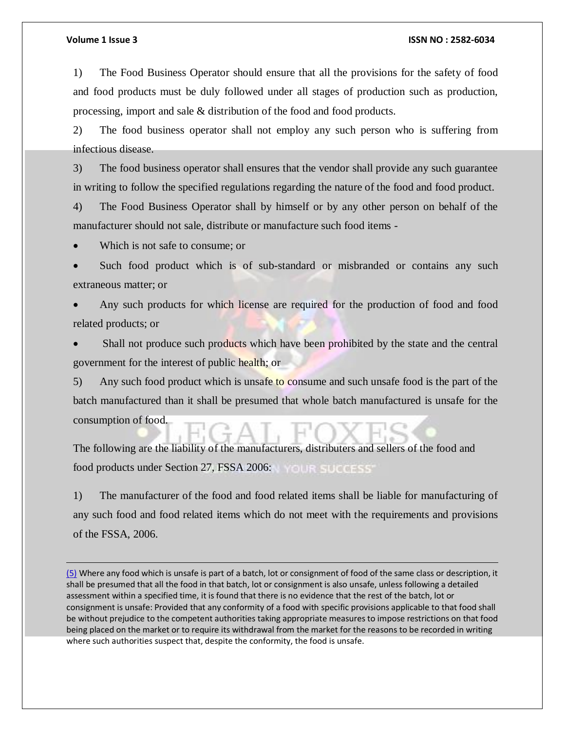$\overline{a}$ 

#### **Volume 1 Issue 3 ISSN NO : 2582-6034**

1) The Food Business Operator should ensure that all the provisions for the safety of food and food products must be duly followed under all stages of production such as production, processing, import and sale & distribution of the food and food products.

2) The food business operator shall not employ any such person who is suffering from infectious disease.

3) The food business operator shall ensures that the vendor shall provide any such guarantee in writing to follow the specified regulations regarding the nature of the food and food product.

4) The Food Business Operator shall by himself or by any other person on behalf of the manufacturer should not sale, distribute or manufacture such food items -

Which is not safe to consume; or

 Such food product which is of sub-standard or misbranded or contains any such extraneous matter; or

 Any such products for which license are required for the production of food and food related products; or

 Shall not produce such products which have been prohibited by the state and the central government for the interest of public health; or

5) Any such food product which is unsafe to consume and such unsafe food is the part of the batch manufactured than it shall be presumed that whole batch manufactured is unsafe for the consumption of food.

The following are the liability of the manufacturers, distributers and sellers of the food and food products under Section 27, FSSA 2006:

1) The manufacturer of the food and food related items shall be liable for manufacturing of any such food and food related items which do not meet with the requirements and provisions of the FSSA, 2006.

[\(5\)](https://indiankanoon.org/doc/1651510/) Where any food which is unsafe is part of a batch, lot or consignment of food of the same class or description, it shall be presumed that all the food in that batch, lot or consignment is also unsafe, unless following a detailed assessment within a specified time, it is found that there is no evidence that the rest of the batch, lot or consignment is unsafe: Provided that any conformity of a food with specific provisions applicable to that food shall be without prejudice to the competent authorities taking appropriate measures to impose restrictions on that food being placed on the market or to require its withdrawal from the market for the reasons to be recorded in writing where such authorities suspect that, despite the conformity, the food is unsafe.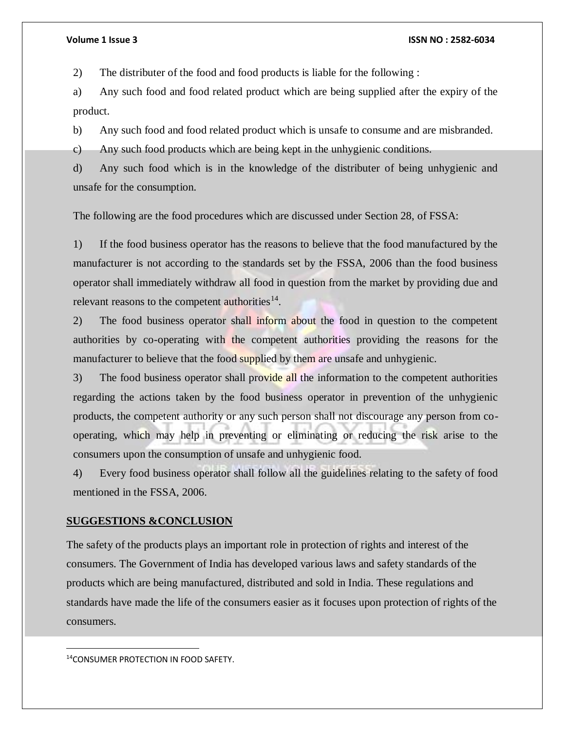2) The distributer of the food and food products is liable for the following :

a) Any such food and food related product which are being supplied after the expiry of the product.

b) Any such food and food related product which is unsafe to consume and are misbranded.

c) Any such food products which are being kept in the unhygienic conditions.

d) Any such food which is in the knowledge of the distributer of being unhygienic and unsafe for the consumption.

The following are the food procedures which are discussed under Section 28, of FSSA:

1) If the food business operator has the reasons to believe that the food manufactured by the manufacturer is not according to the standards set by the FSSA, 2006 than the food business operator shall immediately withdraw all food in question from the market by providing due and relevant reasons to the competent authorities $^{14}$ .

2) The food business operator shall inform about the food in question to the competent authorities by co-operating with the competent authorities providing the reasons for the manufacturer to believe that the food supplied by them are unsafe and unhygienic.

3) The food business operator shall provide all the information to the competent authorities regarding the actions taken by the food business operator in prevention of the unhygienic products, the competent authority or any such person shall not discourage any person from cooperating, which may help in preventing or eliminating or reducing the risk arise to the consumers upon the consumption of unsafe and unhygienic food.

4) Every food business operator shall follow all the guidelines relating to the safety of food mentioned in the FSSA, 2006.

### **SUGGESTIONS &CONCLUSION**

The safety of the products plays an important role in protection of rights and interest of the consumers. The Government of India has developed various laws and safety standards of the products which are being manufactured, distributed and sold in India. These regulations and standards have made the life of the consumers easier as it focuses upon protection of rights of the consumers.

 $\overline{a}$ 

<sup>14</sup>CONSUMER PROTECTION IN FOOD SAFETY.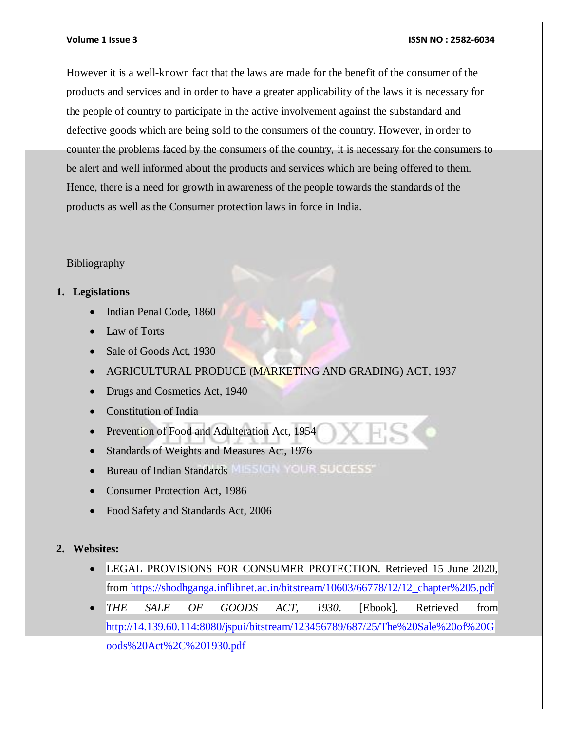However it is a well-known fact that the laws are made for the benefit of the consumer of the products and services and in order to have a greater applicability of the laws it is necessary for the people of country to participate in the active involvement against the substandard and defective goods which are being sold to the consumers of the country. However, in order to counter the problems faced by the consumers of the country, it is necessary for the consumers to be alert and well informed about the products and services which are being offered to them. Hence, there is a need for growth in awareness of the people towards the standards of the products as well as the Consumer protection laws in force in India.

# Bibliography

# **1. Legislations**

- Indian Penal Code, 1860
- Law of Torts
- Sale of Goods Act, 1930
- AGRICULTURAL PRODUCE (MARKETING AND GRADING) ACT, 1937
- Drugs and Cosmetics Act, 1940
- Constitution of India
- Prevention of Food and Adulteration Act, 1954
- Standards of Weights and Measures Act, 1976
- Bureau of Indian Standards MILSION YOUR SUCCESS'
- Consumer Protection Act, 1986
- Food Safety and Standards Act, 2006

# **2. Websites:**

- LEGAL PROVISIONS FOR CONSUMER PROTECTION. Retrieved 15 June 2020, from [https://shodhganga.inflibnet.ac.in/bitstream/10603/66778/12/12\\_chapter%205.pdf](https://shodhganga.inflibnet.ac.in/bitstream/10603/66778/12/12_chapter%205.pdf)
- *THE SALE OF GOODS ACT, 1930*. [Ebook]. Retrieved from [http://14.139.60.114:8080/jspui/bitstream/123456789/687/25/The%20Sale%20of%20G](http://14.139.60.114:8080/jspui/bitstream/123456789/687/25/The%20Sale%20of%20Goods%20Act%2C%201930.pdf) [oods%20Act%2C%201930.pdf](http://14.139.60.114:8080/jspui/bitstream/123456789/687/25/The%20Sale%20of%20Goods%20Act%2C%201930.pdf)